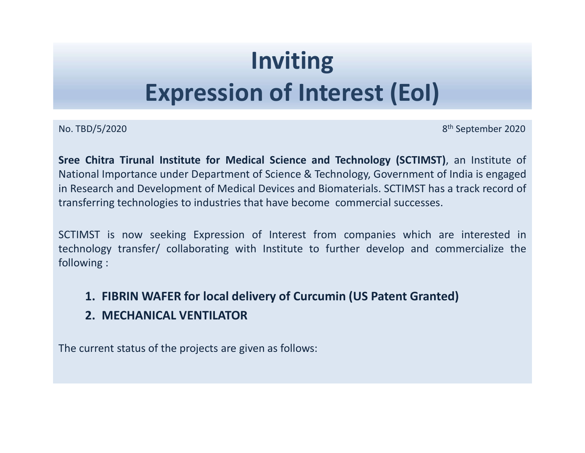# Inviting Expression of Interest (EoI) **Inviting<br>
Expression of Interest (EoI)**<br>
No. TBD/5/2020<br>
Stree Chitra Tirunal Institute for Medical Science and Technology (SCTIMST), an Institute of<br>
National Importance under Department of Science & Technology, Governme

**Expression of Interest (EoI)**<br>
No. TBD/5/2020<br>
S<sup>th</sup> September 2020<br>
Sree Chitra Tirunal Institute for Medical Science and Technology (SCTIMST), an Institute of<br>
National Importance under Department of Science & Technolog **Expression of Interest (EoI)**<br>No. TBD/5/2020<br>Sree Chitra Tirunal Institute for Medical Science and Technology (SCTIMST), an Institute of<br>National Importance under Department of Science & Technology, Government of India is **in Research and Development of Medical Science and Technology (SCTIMST), an Institute of National Importance under Department of Science and Technology (SCTIMST), an Institute of National Importance under Department of Sc Expression of Interest (EoI)**<br>No. TBD/5/2020<br>Stree Chitra Tirunal Institute for Medical Science and Technology (SCTIMST), an Institute of<br>National Importance under Department of Science & Technology (SCTIMST), an Institut **Expression of Interest (EoI)**<br>
No. TBD/5/2020<br>
S<sup>th</sup> September 2020<br>
Stee Chitra Tirunal Institute for Medical Science and Technology (SCTIMST), an Institute of<br>
National Importance under Department of Science & Technolog **Expression of Interest (EoI)**<br>No. TBD/5/2020<br>Stree Chitra Tirunal Institute for Medical Science and Technology (SCTIMST), an Institute of<br>National Importance under Department of Science & Technology, Government of India i **Expression of Inter**<br>No. TBD/5/2020<br>Sree Chitra Tirunal Institute for Medical Science and Te<br>National Importance under Department of Science & Techno<br>in Research and Development of Medical Devices and Bioma<br>transferring t B/5/2020<br>
1. Firunal Institute for Medical Science and Technology (SCTIMST), an Institute of<br>
1. Final Importance under Department of Science & Technology, Government of India is engaged<br>
1. Firming technologies to industr Chitra Tirunal Institute for Medical Science and Technology (SCTI<br>
mal Importance under Department of Science & Technology, Governme<br>
eearch and Development of Medical Devices and Biomaterials. SCTIMS<br>
Terring technologies Solutional Importance under Department of Science & Technology, Government of India is engage<br>In Research and Development of Medical Devices and Biomaterials. SCTIMST has a track record of<br>transferring technologies to indu

- 
-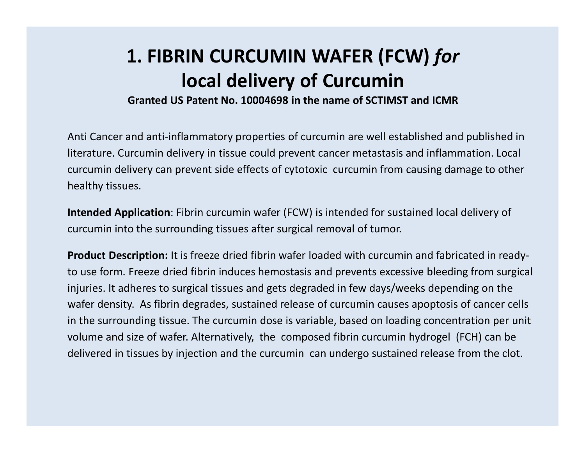## 1. FIBRIN CURCUMIN WAFER (FCW) for local delivery of Curcumin

Granted US Patent No. 10004698 in the name of SCTIMST and ICMR

Anti Cancer and anti-inflammatory properties of curcumin are well established and published in literature. Curcumin delivery in tissue could prevent cancer metastasis and inflammation. Local curcumin delivery can prevent side effects of cytotoxic curcumin from causing damage to other healthy tissues.

Intended Application: Fibrin curcumin wafer (FCW) is intended for sustained local delivery of curcumin into the surrounding tissues after surgical removal of tumor.

Product Description: It is freeze dried fibrin wafer loaded with curcumin and fabricated in readyto use form. Freeze dried fibrin induces hemostasis and prevents excessive bleeding from surgical injuries. It adheres to surgical tissues and gets degraded in few days/weeks depending on the wafer density. As fibrin degrades, sustained release of curcumin causes apoptosis of cancer cells in the surrounding tissue. The curcumin dose is variable, based on loading concentration per unit volume and size of wafer. Alternatively, the composed fibrin curcumin hydrogel (FCH) can be delivered in tissues by injection and the curcumin can undergo sustained release from the clot.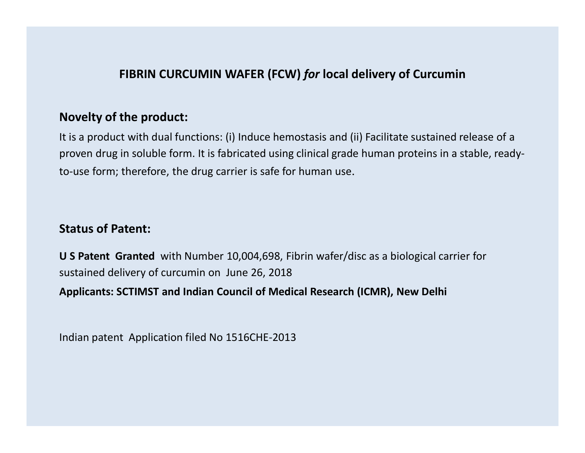#### FIBRIN CURCUMIN WAFER (FCW) for local delivery of Curcumin

#### Novelty of the product:

It is a product with dual functions: (i) Induce hemostasis and (ii) Facilitate sustained release of a proven drug in soluble form. It is fabricated using clinical grade human proteins in a stable, readyto-use form; therefore, the drug carrier is safe for human use.

#### Status of Patent:

U S Patent Granted with Number 10,004,698, Fibrin wafer/disc as a biological carrier for sustained delivery of curcumin on June 26, 2018

Applicants: SCTIMST and Indian Council of Medical Research (ICMR), New Delhi

Indian patent Application filed No 1516CHE-2013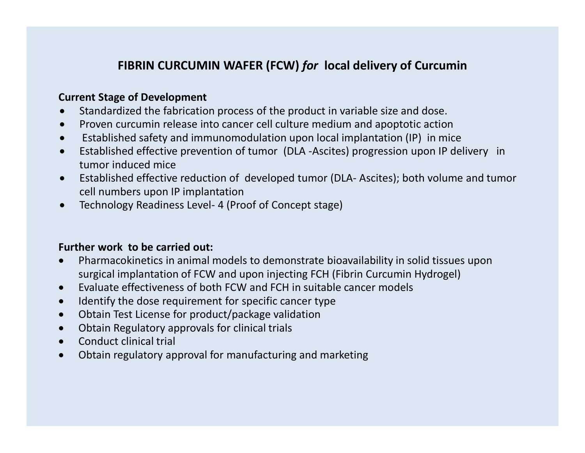#### FIBRIN CURCUMIN WAFER (FCW) for local delivery of Curcumin

#### Current Stage of Development

- Standardized the fabrication process of the product in variable size and dose.
- Proven curcumin release into cancer cell culture medium and apoptotic action
- Established safety and immunomodulation upon local implantation (IP) in mice
- Established effective prevention of tumor (DLA -Ascites) progression upon IP delivery in tumor induced mice FIBRIN CURCUMIN WAFER (FCW) *for* local delivery of Curcumi<br>
Current Stage of Development<br>
• Standardized the fabrication process of the product in variable size and dose.<br>
• Proven curcumin release into cancer cell cultur
- **EXERIN CURCUMIN WAFER (FCW)** *for* local delivery of Curcumin<br>
Current Stage of Development<br>
Standardized the fabrication process of the product in variable size and dose.<br>
Proven curcumin release into cancer cell culture cell numbers upon IP implantation
- 

#### Further work to be carried out:

- Pharmacokinetics in animal models to demonstrate bioavailability in solid tissues upon surgical implantation of FCW and upon injecting FCH (Fibrin Curcumin Hydrogel)
- Evaluate effectiveness of both FCW and FCH in suitable cancer models
- Identify the dose requirement for specific cancer type
- Obtain Test License for product/package validation
- Obtain Regulatory approvals for clinical trials
- Conduct clinical trial
- Obtain regulatory approval for manufacturing and marketing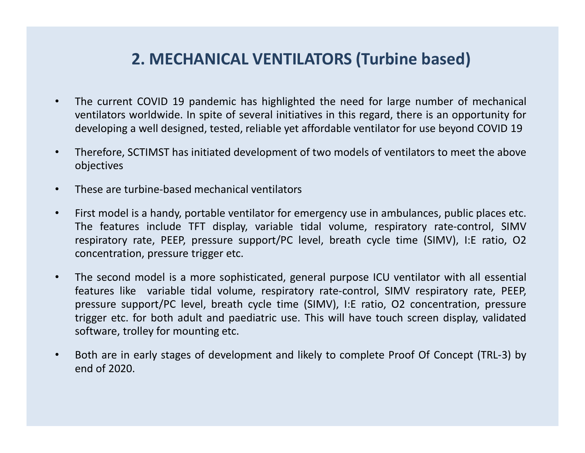### 2. MECHANICAL VENTILATORS (Turbine based)

- **2. MECHANICAL VENTILATORS (Turbine based)**<br>• The current COVID 19 pandemic has highlighted the need for large number of mechanical<br>ventilators worldwide. In spite of several initiatives in this regard, there is an opportu **2. MECHANICAL VENTILATORS (Turbine based)**<br>The current COVID 19 pandemic has highlighted the need for large number of mechanical<br>ventilators worldwide. In spite of several initiatives in this regard, there is an opportuni **2. MECHANICAL VENTILATORS (Turbine based)**<br>The current COVID 19 pandemic has highlighted the need for large number of mechanical<br>ventilators worldwide. In spite of several initiatives in this regard, there is an opportuni **2. MECHANICAL VENTILATORS (Turbine based)**<br>• The current COVID 19 pandemic has highlighted the need for large number of mechanical<br>ventilators worldwide. In spite of several initiatives in this regard, there is an opportu
- objectives
- 
- 2. MECHANICAL VENTILATORS (Turbine based)<br>• The current COVID 19 pandemic has highlighted the need for large number of mec<br>ventilators worldwide. In spite of several initiatives in this regard, there is an opporture<br>develo **2. MECHANICAL VENTILATORS (Turbine based)**<br>
• The current COVID 19 pandemic has highlighted the need for large number of mechanical<br>
ventilators worldwide. In spite of several initiatives in this regard, there is an oppor **2. MECHANICAL VENTILATORS (Turbine based)**<br>The current COVID 19 pandemic has highlighted the need for large number of mechanical<br>ventiliators worldwide. In spite of several initiatives in this regard, there is an opportun **2. MECHANICAL VENTILATORS (Turbine based)**<br>The current COVID 19 pandemic has highlighted the need for large number of mechanical<br>ventilators worldwide. In spite of several initiatives in this regard, there is an opportuni
- Frame trigger etc. The current COVID 19 pandemic has highlighted the need for large number of mechanical ventilators worldwide. In spite of several initiatives in this regard, there is an opportunity for developing a wel ventilators worldwide. In spite of several initiatives in this regard, there is an opportunity for developing a well designed, tested, reliable yet affordable ventilator for use beyond COVID 19<br>Therefore, SCTIMST has initi developing a well designed, tested, reliable yet affordable ventilator for use beyond COVID 19<br>Therefore, SCTIMST has initiated development of two models of ventilators to meet the above<br>objectives<br>These are turbine-based Therefore, SCTIMST has initiated development of two models of ventilators to meet the above<br>objectives<br>These are turbine-based mechanical ventilators<br>First model is a handy, portable ventilator for emergency use in ambulan For mounting the mounting that interests of ventilators to meet the above<br>
• These are turbine-based mechanical ventilators<br>
• First model is a handy, portable ventilator for emergency use in ambulances, public places etc. These are turbine-based mechanical ventilators<br>First model is a handy, portable ventilator for emergency<br>The features include TFT display, variable tidal volun<br>respiratory rate, PEEP, pressure support/PC level, brea<br>concen
-